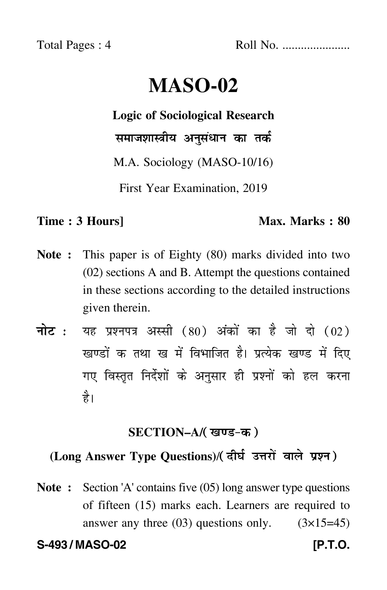Total Pages : 4 Roll No. ......................

# **MASO-02**

**Logic of Sociological Research**

समाजशास्त्रीय अनुसंधान का तर्क

M.A. Sociology (MASO-10/16)

First Year Examination, 2019

# **Time : 3 Hours]** Max. Marks : 80

- **Note :** This paper is of Eighty (80) marks divided into two (02) sections A and B. Attempt the questions contained in these sections according to the detailed instructions given therein.
- नोट : यह प्रश्नपत्र अस्सी (80) अंकों का है जो दो (02) खण्डों क तथा ख में विभाजित है। प्रत्येक खण्ड में दिए गए विस्तृत निर्देशों के अनुसार ही प्रश्नों को हल करन<mark>ा</mark> है।

# **SECTION–A/**

# (Long Answer Type Questions)/( दीर्घ उत्तरों वाले प्रश्न )

**Note :** Section 'A' contains five (05) long answer type questions of fifteen (15) marks each. Learners are required to answer any three  $(03)$  questions only.  $(3\times15=45)$ 

**S-493 / MASO-02 [P.T.O.**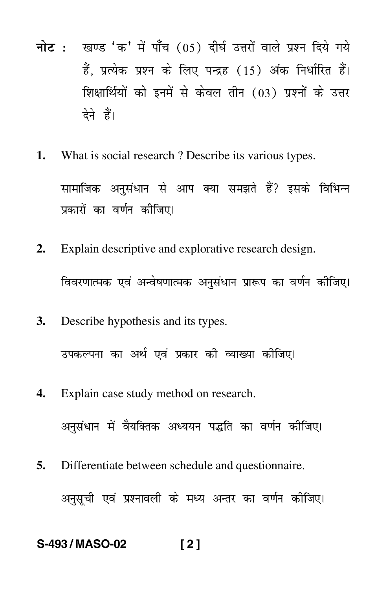- <mark>नोट</mark> : खण्ड 'क' में पाँच (05) दीर्घ उत्तरों वाले प्रश्न दिये गये हैं, प्रत्येक प्रश्न के लिए पन्द्रह (15) अंक निर्धारित हैं। शिक्षार्थियों को इनमें से केवल तीन (03) प्रश्नों के उत्तर देने हैं।
- **1.** What is social research ? Describe its various types. सामाजिक अनुसंधान से आप क्या समझते हैं? इसके विभिन्न प्रकारों का वर्णन कीजिए।
- **2.** Explain descriptive and explorative research design. विवरणात्मक एवं अन्वेषणात्मक अनुसंधान प्रारूप का वर्णन कीजिए। --
- **3.** Describe hypothesis and its types.

उपकल्पना का अर्थ एवं प्रकार की व्याख्या कीजिए।

- **4.** Explain case study method on research. अनुसंधान में वैयक्तिक अध्ययन पद्धति का वर्णन कीजिए।
- **5.** Differentiate between schedule and questionnaire. अनुसूची एवं प्रश्नावली के मध्य अन्तर का वर्णन कीजिए।

# **S-493 / MASO-02 [ 2 ]**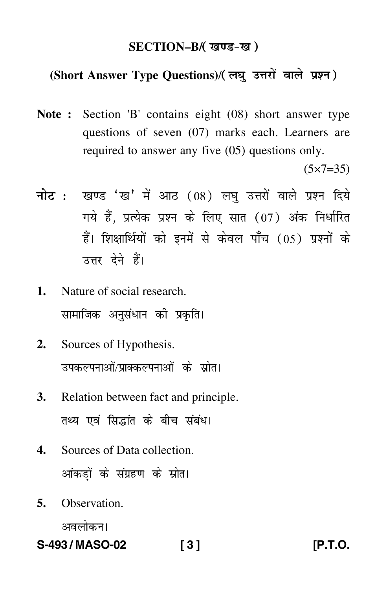### **SECTION–B/**

# (Short Answer Type Questions)/(लघु उत्तरों वाले प्रश्न)

**Note :** Section 'B' contains eight (08) short answer type questions of seven (07) marks each. Learners are required to answer any five (05) questions only.

 $(5 \times 7 = 35)$ 

- <mark>नोट</mark> : खण्ड 'ख' में आठ (08) लघु उत्तरों वाले प्रश्न दिये गये हैं, प्रत्येक प्रश्न के लिए सात (07) अंक निर्धारित हैं। शिक्षार्थियों को इनमें से केवल पाँच (05) प्रश्नों के उत्तर देने हैं।
- **1.** Nature of social research. सामाजिक अनुसंधान की प्रकृति।
- **2.** Sources of Hypothesis. उपकल्पनाओं/प्राक्कल्पनाओं के स्रोत।
- **3.** Relation between fact and principle. तथ्य एवं सिद्धांत के बीच संबंध।
- **4.** Sources of Data collection. आंकड़ों के संग्रहण के स्रोत।
- **5.** Observation.

अवलोकन।

**S-493 / MASO-02 [ 3 ] [P.T.O.**